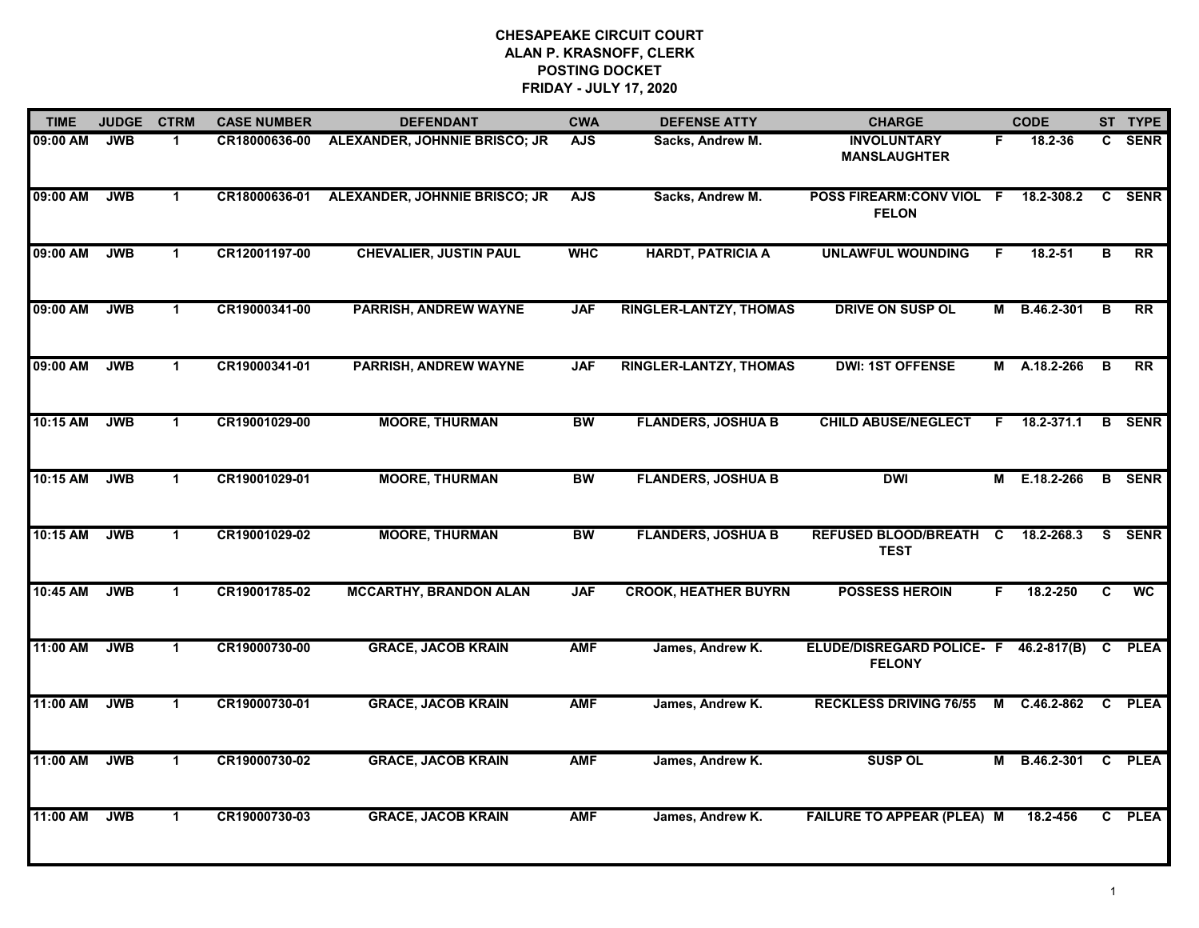| <b>TIME</b> | <b>JUDGE</b> | <b>CTRM</b>          | <b>CASE NUMBER</b> | <b>DEFENDANT</b>                     | <b>CWA</b> | <b>DEFENSE ATTY</b>           | <b>CHARGE</b>                                     |    | <b>CODE</b>       |              | ST TYPE         |
|-------------|--------------|----------------------|--------------------|--------------------------------------|------------|-------------------------------|---------------------------------------------------|----|-------------------|--------------|-----------------|
| 09:00 AM    | <b>JWB</b>   | -1                   | CR18000636-00      | <b>ALEXANDER, JOHNNIE BRISCO; JR</b> | <b>AJS</b> | Sacks, Andrew M.              | <b>INVOLUNTARY</b><br><b>MANSLAUGHTER</b>         | F. | 18.2-36           | C.           | <b>SENR</b>     |
| 09:00 AM    | <b>JWB</b>   | $\mathbf{1}$         | CR18000636-01      | ALEXANDER, JOHNNIE BRISCO; JR        | <b>AJS</b> | Sacks, Andrew M.              | POSS FIREARM:CONV VIOL F<br><b>FELON</b>          |    | 18.2-308.2        | $\mathbf{C}$ | <b>SENR</b>     |
| 09:00 AM    | <b>JWB</b>   | $\mathbf{1}$         | CR12001197-00      | <b>CHEVALIER, JUSTIN PAUL</b>        | <b>WHC</b> | <b>HARDT, PATRICIA A</b>      | <b>UNLAWFUL WOUNDING</b>                          | F  | $18.2 - 51$       | B            | $\overline{RR}$ |
| 09:00 AM    | <b>JWB</b>   | $\mathbf 1$          | CR19000341-00      | <b>PARRISH, ANDREW WAYNE</b>         | <b>JAF</b> | <b>RINGLER-LANTZY, THOMAS</b> | DRIVE ON SUSP OL                                  | М  | B.46.2-301        | B            | <b>RR</b>       |
| 09:00 AM    | <b>JWB</b>   | $\mathbf{1}$         | CR19000341-01      | <b>PARRISH, ANDREW WAYNE</b>         | <b>JAF</b> | <b>RINGLER-LANTZY, THOMAS</b> | <b>DWI: 1ST OFFENSE</b>                           | М  | A.18.2-266        | В            | <b>RR</b>       |
| 10:15 AM    | <b>JWB</b>   | $\mathbf{1}$         | CR19001029-00      | <b>MOORE, THURMAN</b>                | <b>BW</b>  | <b>FLANDERS, JOSHUA B</b>     | <b>CHILD ABUSE/NEGLECT</b>                        | F. | 18.2-371.1        | B            | <b>SENR</b>     |
| 10:15 AM    | <b>JWB</b>   | $\mathbf{1}$         | CR19001029-01      | <b>MOORE, THURMAN</b>                | <b>BW</b>  | <b>FLANDERS, JOSHUA B</b>     | <b>DWI</b>                                        | M  | E.18.2-266        |              | <b>B</b> SENR   |
| 10:15 AM    | <b>JWB</b>   | $\mathbf{1}$         | CR19001029-02      | <b>MOORE, THURMAN</b>                | <b>BW</b>  | <b>FLANDERS, JOSHUA B</b>     | <b>REFUSED BLOOD/BREATH C</b><br><b>TEST</b>      |    | 18.2-268.3        |              | S SENR          |
| 10:45 AM    | <b>JWB</b>   | $\mathbf 1$          | CR19001785-02      | <b>MCCARTHY, BRANDON ALAN</b>        | <b>JAF</b> | <b>CROOK, HEATHER BUYRN</b>   | <b>POSSESS HEROIN</b>                             | F  | 18.2-250          | C            | <b>WC</b>       |
| 11:00 AM    | <b>JWB</b>   | $\mathbf{1}$         | CR19000730-00      | <b>GRACE, JACOB KRAIN</b>            | <b>AMF</b> | James, Andrew K.              | <b>ELUDE/DISREGARD POLICE- F</b><br><b>FELONY</b> |    | 46.2-817(B)       | C            | <b>PLEA</b>     |
| 11:00 AM    | <b>JWB</b>   | $\mathbf 1$          | CR19000730-01      | <b>GRACE, JACOB KRAIN</b>            | <b>AMF</b> | James, Andrew K.              | <b>RECKLESS DRIVING 76/55</b>                     | M  | C.46.2-862        | C            | <b>PLEA</b>     |
| 11:00 AM    | <b>JWB</b>   | $\mathbf 1$          | CR19000730-02      | <b>GRACE, JACOB KRAIN</b>            | <b>AMF</b> | James, Andrew K.              | <b>SUSP OL</b>                                    | М  | B.46.2-301 C PLEA |              |                 |
| 11:00 AM    | <b>JWB</b>   | $\blacktriangleleft$ | CR19000730-03      | <b>GRACE, JACOB KRAIN</b>            | <b>AMF</b> | James, Andrew K.              | <b>FAILURE TO APPEAR (PLEA) M</b>                 |    | 18.2-456          |              | C PLEA          |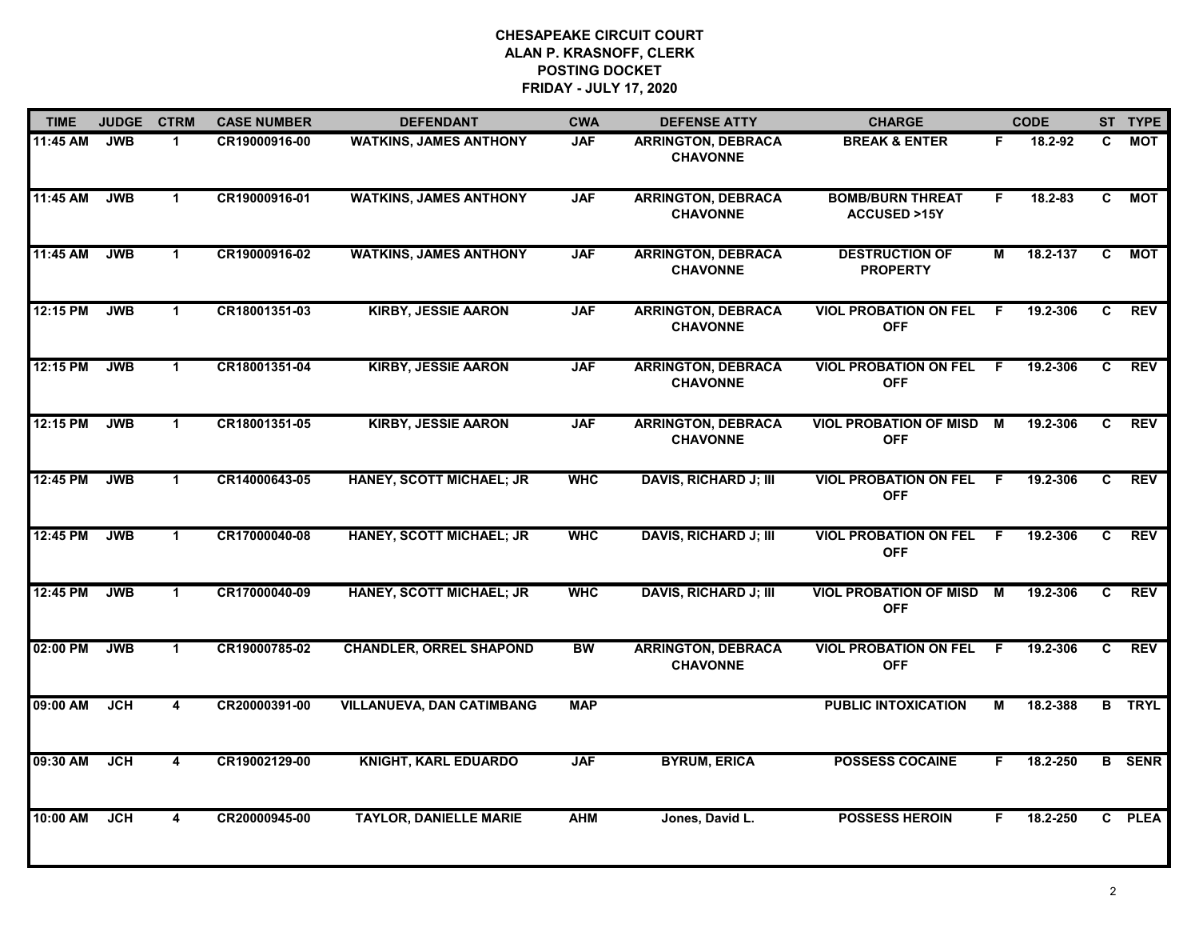| <b>TIME</b> | <b>JUDGE</b> | <b>CTRM</b>          | <b>CASE NUMBER</b> | <b>DEFENDANT</b>                 | <b>CWA</b> | <b>DEFENSE ATTY</b>                          | <b>CHARGE</b>                                     |                | <b>CODE</b> |                | ST TYPE       |
|-------------|--------------|----------------------|--------------------|----------------------------------|------------|----------------------------------------------|---------------------------------------------------|----------------|-------------|----------------|---------------|
| 11:45 AM    | <b>JWB</b>   | $\mathbf 1$          | CR19000916-00      | <b>WATKINS, JAMES ANTHONY</b>    | <b>JAF</b> | <b>ARRINGTON, DEBRACA</b><br><b>CHAVONNE</b> | <b>BREAK &amp; ENTER</b>                          | F.             | 18.2-92     | C.             | МОТ           |
| 11:45 AM    | <b>JWB</b>   | $\mathbf{1}$         | CR19000916-01      | <b>WATKINS, JAMES ANTHONY</b>    | <b>JAF</b> | <b>ARRINGTON, DEBRACA</b><br><b>CHAVONNE</b> | <b>BOMB/BURN THREAT</b><br><b>ACCUSED &gt;15Y</b> | F              | 18.2-83     | C              | <b>MOT</b>    |
| 11:45 AM    | <b>JWB</b>   | $\mathbf 1$          | CR19000916-02      | <b>WATKINS, JAMES ANTHONY</b>    | <b>JAF</b> | <b>ARRINGTON, DEBRACA</b><br><b>CHAVONNE</b> | <b>DESTRUCTION OF</b><br><b>PROPERTY</b>          | М              | 18.2-137    | C              | <b>MOT</b>    |
| 12:15 PM    | <b>JWB</b>   | $\mathbf{1}$         | CR18001351-03      | <b>KIRBY, JESSIE AARON</b>       | <b>JAF</b> | <b>ARRINGTON, DEBRACA</b><br><b>CHAVONNE</b> | <b>VIOL PROBATION ON FEL</b><br><b>OFF</b>        | -F             | 19.2-306    | C.             | <b>REV</b>    |
| 12:15 PM    | <b>JWB</b>   | $\mathbf 1$          | CR18001351-04      | <b>KIRBY, JESSIE AARON</b>       | <b>JAF</b> | <b>ARRINGTON, DEBRACA</b><br><b>CHAVONNE</b> | <b>VIOL PROBATION ON FEL</b><br><b>OFF</b>        | F.             | 19.2-306    | C              | <b>REV</b>    |
| 12:15 PM    | <b>JWB</b>   | $\mathbf 1$          | CR18001351-05      | <b>KIRBY, JESSIE AARON</b>       | <b>JAF</b> | <b>ARRINGTON, DEBRACA</b><br><b>CHAVONNE</b> | <b>VIOL PROBATION OF MISD M</b><br><b>OFF</b>     |                | 19.2-306    | C.             | REV           |
| 12:45 PM    | <b>JWB</b>   | $\overline{1}$       | CR14000643-05      | HANEY, SCOTT MICHAEL; JR         | <b>WHC</b> | <b>DAVIS, RICHARD J; III</b>                 | <b>VIOL PROBATION ON FEL</b><br><b>OFF</b>        | $\overline{F}$ | 19.2-306    | $\overline{c}$ | <b>REV</b>    |
| 12:45 PM    | <b>JWB</b>   | $\mathbf 1$          | CR17000040-08      | <b>HANEY, SCOTT MICHAEL; JR</b>  | <b>WHC</b> | <b>DAVIS, RICHARD J; III</b>                 | <b>VIOL PROBATION ON FEL</b><br><b>OFF</b>        | -F             | 19.2-306    | C.             | <b>REV</b>    |
| 12:45 PM    | <b>JWB</b>   | $\blacktriangleleft$ | CR17000040-09      | HANEY, SCOTT MICHAEL; JR         | <b>WHC</b> | <b>DAVIS, RICHARD J; III</b>                 | <b>VIOL PROBATION OF MISD</b><br><b>OFF</b>       | M              | 19.2-306    | C              | <b>REV</b>    |
| 02:00 PM    | <b>JWB</b>   | $\mathbf 1$          | CR19000785-02      | <b>CHANDLER, ORREL SHAPOND</b>   | <b>BW</b>  | <b>ARRINGTON, DEBRACA</b><br><b>CHAVONNE</b> | <b>VIOL PROBATION ON FEL</b><br><b>OFF</b>        | -F             | 19.2-306    | C.             | <b>REV</b>    |
| 09:00 AM    | <b>JCH</b>   | $\overline{4}$       | CR20000391-00      | <b>VILLANUEVA, DAN CATIMBANG</b> | <b>MAP</b> |                                              | <b>PUBLIC INTOXICATION</b>                        | М              | 18.2-388    |                | <b>B</b> TRYL |
| 09:30 AM    | <b>JCH</b>   | $\blacktriangle$     | CR19002129-00      | <b>KNIGHT, KARL EDUARDO</b>      | <b>JAF</b> | <b>BYRUM, ERICA</b>                          | <b>POSSESS COCAINE</b>                            | F.             | 18.2-250    |                | <b>B</b> SENR |
| 10:00 AM    | JCH          | 4                    | CR20000945-00      | <b>TAYLOR, DANIELLE MARIE</b>    | <b>AHM</b> | Jones, David L.                              | <b>POSSESS HEROIN</b>                             | F.             | 18.2-250    |                | C PLEA        |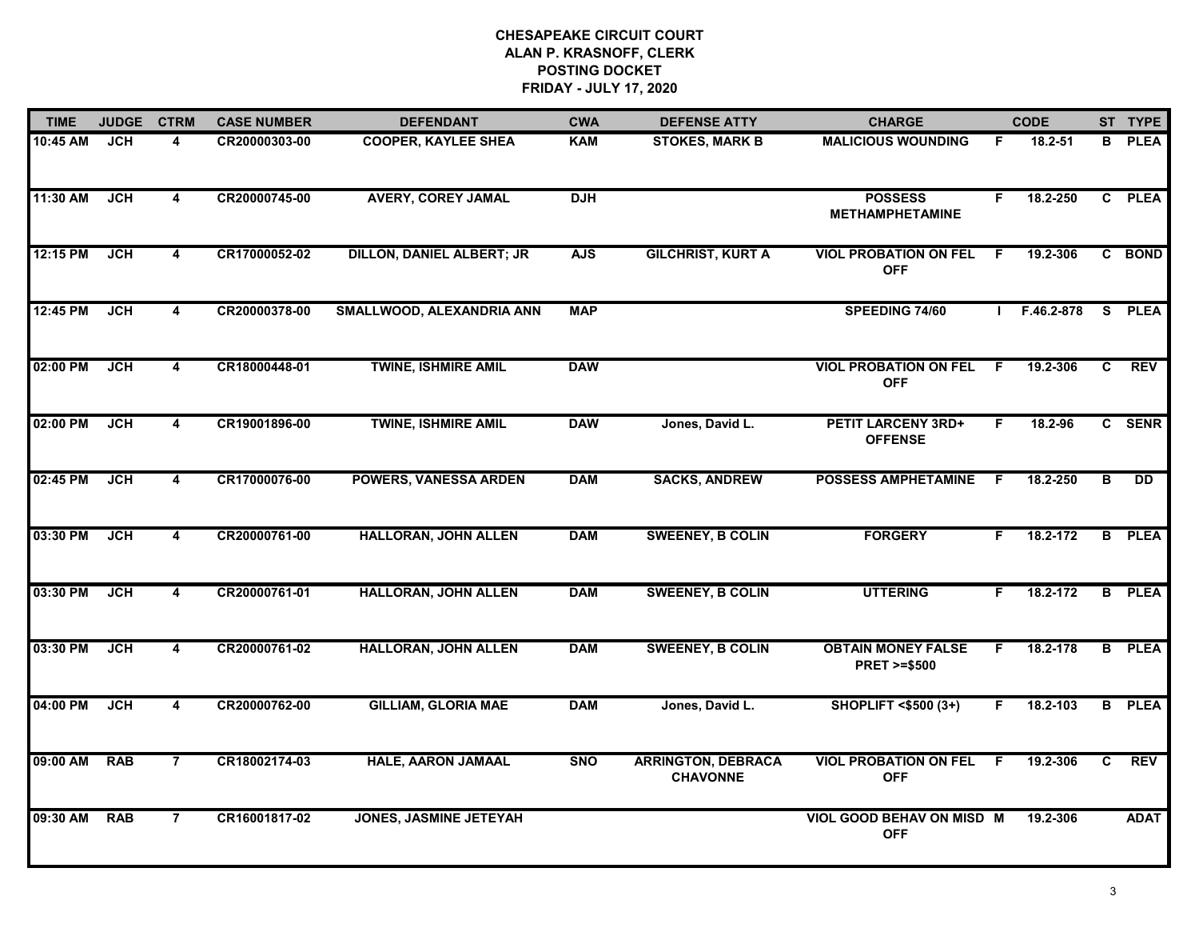| <b>TIME</b> | <b>JUDGE</b> | <b>CTRM</b>             | <b>CASE NUMBER</b> | <b>DEFENDANT</b>                 | <b>CWA</b> | <b>DEFENSE ATTY</b>                          | <b>CHARGE</b>                                       |    | <b>CODE</b> |                | ST TYPE         |
|-------------|--------------|-------------------------|--------------------|----------------------------------|------------|----------------------------------------------|-----------------------------------------------------|----|-------------|----------------|-----------------|
| 10:45 AM    | <b>JCH</b>   | 4                       | CR20000303-00      | <b>COOPER, KAYLEE SHEA</b>       | <b>KAM</b> | <b>STOKES, MARK B</b>                        | <b>MALICIOUS WOUNDING</b>                           | F. | 18.2-51     | B.             | <b>PLEA</b>     |
| 11:30 AM    | <b>JCH</b>   | $\overline{\mathbf{4}}$ | CR20000745-00      | <b>AVERY, COREY JAMAL</b>        | <b>DJH</b> |                                              | <b>POSSESS</b><br><b>METHAMPHETAMINE</b>            | F. | 18.2-250    |                | C PLEA          |
| 12:15 PM    | <b>JCH</b>   | $\overline{\mathbf{4}}$ | CR17000052-02      | <b>DILLON, DANIEL ALBERT; JR</b> | <b>AJS</b> | <b>GILCHRIST, KURT A</b>                     | <b>VIOL PROBATION ON FEL</b><br><b>OFF</b>          | F. | 19.2-306    |                | C BOND          |
| 12:45 PM    | <b>JCH</b>   | 4                       | CR20000378-00      | SMALLWOOD, ALEXANDRIA ANN        | <b>MAP</b> |                                              | SPEEDING 74/60                                      |    | F.46.2-878  |                | S PLEA          |
| 02:00 PM    | <b>JCH</b>   | 4                       | CR18000448-01      | <b>TWINE, ISHMIRE AMIL</b>       | <b>DAW</b> |                                              | <b>VIOL PROBATION ON FEL</b><br><b>OFF</b>          | F. | 19.2-306    | C              | <b>REV</b>      |
| 02:00 PM    | <b>JCH</b>   | 4                       | CR19001896-00      | <b>TWINE, ISHMIRE AMIL</b>       | <b>DAW</b> | Jones, David L.                              | <b>PETIT LARCENY 3RD+</b><br><b>OFFENSE</b>         | F  | 18.2-96     |                | C SENR          |
| 02:45 PM    | <b>JCH</b>   | $\overline{\mathbf{4}}$ | CR17000076-00      | <b>POWERS, VANESSA ARDEN</b>     | <b>DAM</b> | <b>SACKS, ANDREW</b>                         | <b>POSSESS AMPHETAMINE</b>                          | E  | 18.2-250    | в              | $\overline{DD}$ |
| 03:30 PM    | JCH          | $\overline{\mathbf{4}}$ | CR20000761-00      | <b>HALLORAN, JOHN ALLEN</b>      | <b>DAM</b> | <b>SWEENEY, B COLIN</b>                      | <b>FORGERY</b>                                      | F. | 18.2-172    |                | <b>B</b> PLEA   |
| 03:30 PM    | <b>JCH</b>   | 4                       | CR20000761-01      | <b>HALLORAN, JOHN ALLEN</b>      | <b>DAM</b> | <b>SWEENEY, B COLIN</b>                      | <b>UTTERING</b>                                     | F. | 18.2-172    |                | <b>B</b> PLEA   |
| 03:30 PM    | <b>JCH</b>   | 4                       | CR20000761-02      | <b>HALLORAN, JOHN ALLEN</b>      | <b>DAM</b> | <b>SWEENEY, B COLIN</b>                      | <b>OBTAIN MONEY FALSE</b><br><b>PRET &gt;=\$500</b> | F  | 18.2-178    |                | <b>B</b> PLEA   |
| 04:00 PM    | <b>JCH</b>   | $\overline{\mathbf{4}}$ | CR20000762-00      | <b>GILLIAM, GLORIA MAE</b>       | <b>DAM</b> | Jones, David L.                              | <b>SHOPLIFT &lt;\$500 (3+)</b>                      | E  | 18.2-103    |                | <b>B</b> PLEA   |
| 09:00 AM    | <b>RAB</b>   | $\overline{7}$          | CR18002174-03      | <b>HALE, AARON JAMAAL</b>        | <b>SNO</b> | <b>ARRINGTON, DEBRACA</b><br><b>CHAVONNE</b> | <b>VIOL PROBATION ON FEL</b><br><b>OFF</b>          | F. | 19.2-306    | $\overline{c}$ | <b>REV</b>      |
| 09:30 AM    | <b>RAB</b>   | $\overline{7}$          | CR16001817-02      | <b>JONES, JASMINE JETEYAH</b>    |            |                                              | <b>VIOL GOOD BEHAV ON MISD M</b><br><b>OFF</b>      |    | 19.2-306    |                | <b>ADAT</b>     |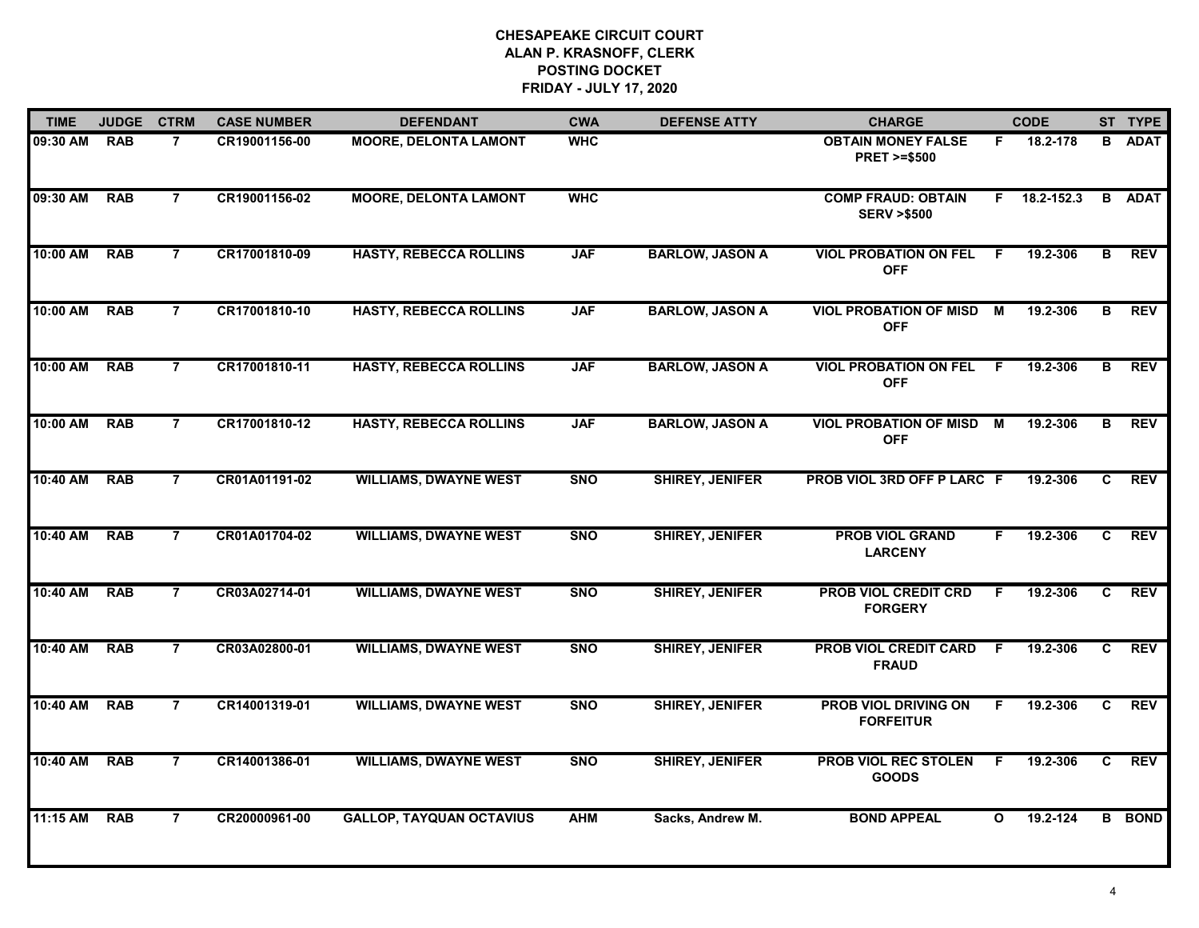| <b>TIME</b> | <b>JUDGE</b> | <b>CTRM</b>    | <b>CASE NUMBER</b> | <b>DEFENDANT</b>                | <b>CWA</b> | <b>DEFENSE ATTY</b>    | <b>CHARGE</b>                                       |                | <b>CODE</b>        |                | ST TYPE       |
|-------------|--------------|----------------|--------------------|---------------------------------|------------|------------------------|-----------------------------------------------------|----------------|--------------------|----------------|---------------|
| 09:30 AM    | <b>RAB</b>   | $\overline{7}$ | CR19001156-00      | <b>MOORE, DELONTA LAMONT</b>    | <b>WHC</b> |                        | <b>OBTAIN MONEY FALSE</b><br><b>PRET &gt;=\$500</b> | F.             | 18.2-178           | B              | <b>ADAT</b>   |
| 09:30 AM    | <b>RAB</b>   | $\overline{7}$ | CR19001156-02      | <b>MOORE, DELONTA LAMONT</b>    | <b>WHC</b> |                        | <b>COMP FRAUD: OBTAIN</b><br><b>SERV &gt;\$500</b>  |                | $F = 18.2 - 152.3$ |                | <b>B</b> ADAT |
| 10:00 AM    | <b>RAB</b>   | $\overline{7}$ | CR17001810-09      | <b>HASTY, REBECCA ROLLINS</b>   | <b>JAF</b> | <b>BARLOW, JASON A</b> | <b>VIOL PROBATION ON FEL</b><br><b>OFF</b>          | -F             | 19.2-306           | В              | <b>REV</b>    |
| 10:00 AM    | <b>RAB</b>   | 7              | CR17001810-10      | <b>HASTY, REBECCA ROLLINS</b>   | <b>JAF</b> | <b>BARLOW, JASON A</b> | <b>VIOL PROBATION OF MISD</b><br><b>OFF</b>         | M              | 19.2-306           | в              | <b>REV</b>    |
| 10:00 AM    | <b>RAB</b>   | $\overline{7}$ | CR17001810-11      | <b>HASTY, REBECCA ROLLINS</b>   | <b>JAF</b> | <b>BARLOW, JASON A</b> | <b>VIOL PROBATION ON FEL</b><br><b>OFF</b>          | F.             | 19.2-306           | В              | REV           |
| 10:00 AM    | <b>RAB</b>   | $\overline{7}$ | CR17001810-12      | <b>HASTY, REBECCA ROLLINS</b>   | <b>JAF</b> | <b>BARLOW, JASON A</b> | <b>VIOL PROBATION OF MISD M</b><br><b>OFF</b>       |                | 19.2-306           | В              | <b>REV</b>    |
| 10:40 AM    | <b>RAB</b>   | $\overline{7}$ | CR01A01191-02      | <b>WILLIAMS, DWAYNE WEST</b>    | <b>SNO</b> | <b>SHIREY, JENIFER</b> | PROB VIOL 3RD OFF P LARC F                          |                | 19.2-306           | C.             | <b>REV</b>    |
| 10:40 AM    | <b>RAB</b>   | $\overline{7}$ | CR01A01704-02      | <b>WILLIAMS, DWAYNE WEST</b>    | <b>SNO</b> | <b>SHIREY, JENIFER</b> | <b>PROB VIOL GRAND</b><br><b>LARCENY</b>            | F.             | 19.2-306           | $\mathbf{c}$   | <b>REV</b>    |
| 10:40 AM    | <b>RAB</b>   | $\overline{7}$ | CR03A02714-01      | <b>WILLIAMS, DWAYNE WEST</b>    | <b>SNO</b> | <b>SHIREY, JENIFER</b> | <b>PROB VIOL CREDIT CRD</b><br><b>FORGERY</b>       | F              | 19.2-306           | C              | <b>REV</b>    |
| 10:40 AM    | <b>RAB</b>   | $\overline{7}$ | CR03A02800-01      | <b>WILLIAMS, DWAYNE WEST</b>    | <b>SNO</b> | <b>SHIREY, JENIFER</b> | <b>PROB VIOL CREDIT CARD</b><br><b>FRAUD</b>        | F.             | 19.2-306           | C              | <b>REV</b>    |
| 10:40 AM    | <b>RAB</b>   | $\overline{7}$ | CR14001319-01      | <b>WILLIAMS, DWAYNE WEST</b>    | <b>SNO</b> | <b>SHIREY, JENIFER</b> | <b>PROB VIOL DRIVING ON</b><br><b>FORFEITUR</b>     | F.             | 19.2-306           | C              | <b>REV</b>    |
| 10:40 AM    | <b>RAB</b>   | $\overline{7}$ | CR14001386-01      | <b>WILLIAMS, DWAYNE WEST</b>    | <b>SNO</b> | <b>SHIREY, JENIFER</b> | <b>PROB VIOL REC STOLEN</b><br><b>GOODS</b>         | $\overline{F}$ | 19.2-306           | $\overline{c}$ | <b>REV</b>    |
| 11:15 AM    | <b>RAB</b>   | $\overline{7}$ | CR20000961-00      | <b>GALLOP, TAYQUAN OCTAVIUS</b> | <b>AHM</b> | Sacks, Andrew M.       | <b>BOND APPEAL</b>                                  | $\Omega$       | 19.2-124           |                | <b>B</b> BOND |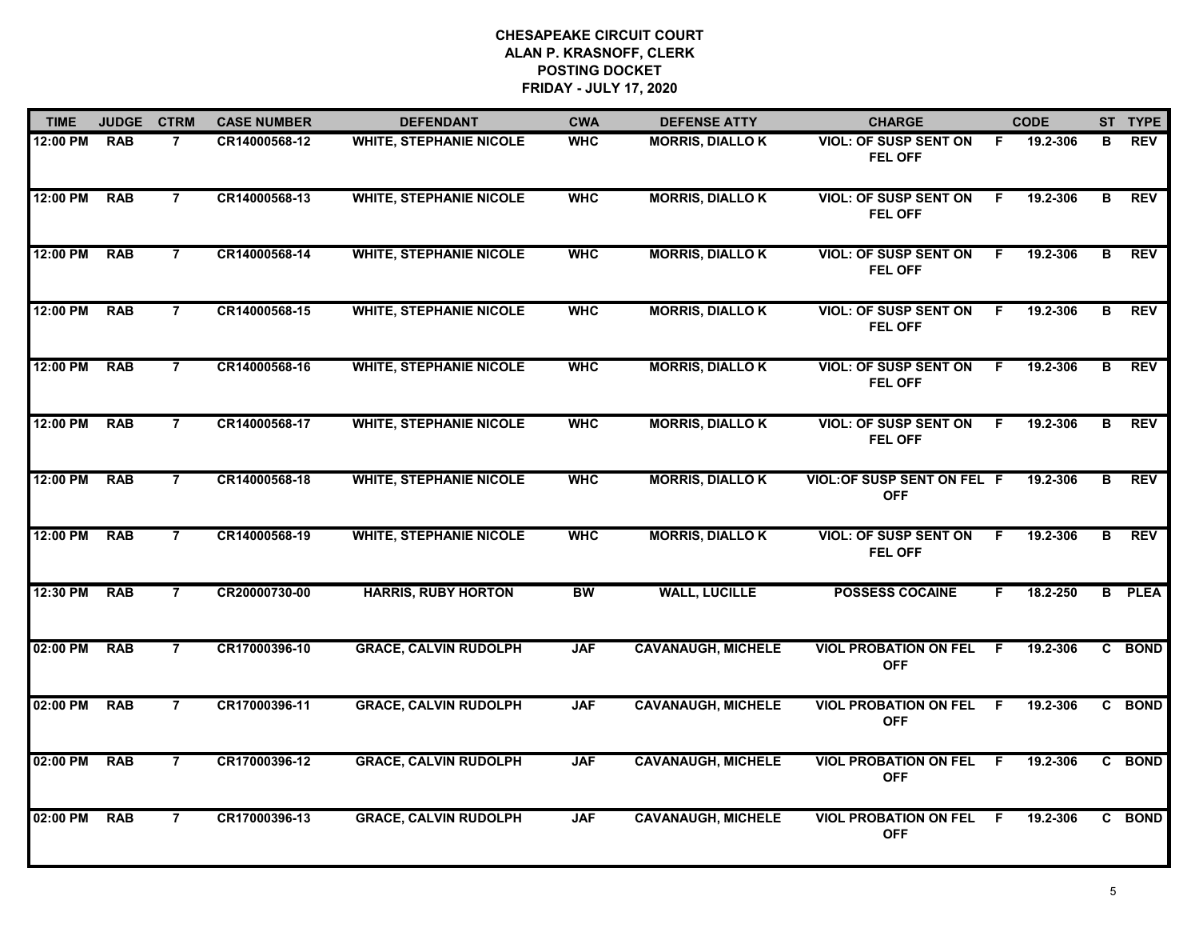| <b>TIME</b> | <b>JUDGE</b> | <b>CTRM</b>    | <b>CASE NUMBER</b> | <b>DEFENDANT</b>               | <b>CWA</b> | <b>DEFENSE ATTY</b>       | <b>CHARGE</b>                                    |    | <b>CODE</b> |   | ST TYPE     |
|-------------|--------------|----------------|--------------------|--------------------------------|------------|---------------------------|--------------------------------------------------|----|-------------|---|-------------|
| 12:00 PM    | <b>RAB</b>   | $\overline{7}$ | CR14000568-12      | <b>WHITE, STEPHANIE NICOLE</b> | <b>WHC</b> | <b>MORRIS, DIALLOK</b>    | <b>VIOL: OF SUSP SENT ON</b><br><b>FEL OFF</b>   | F. | 19.2-306    | B | <b>REV</b>  |
| 12:00 PM    | <b>RAB</b>   | $\overline{7}$ | CR14000568-13      | <b>WHITE, STEPHANIE NICOLE</b> | <b>WHC</b> | <b>MORRIS, DIALLOK</b>    | <b>VIOL: OF SUSP SENT ON</b><br><b>FEL OFF</b>   | F. | 19.2-306    | B | <b>REV</b>  |
| 12:00 PM    | <b>RAB</b>   | $\overline{7}$ | CR14000568-14      | <b>WHITE, STEPHANIE NICOLE</b> | <b>WHC</b> | <b>MORRIS, DIALLOK</b>    | <b>VIOL: OF SUSP SENT ON</b><br><b>FEL OFF</b>   | F. | 19.2-306    | B | <b>REV</b>  |
| 12:00 PM    | <b>RAB</b>   | $\overline{7}$ | CR14000568-15      | <b>WHITE, STEPHANIE NICOLE</b> | <b>WHC</b> | <b>MORRIS, DIALLOK</b>    | <b>VIOL: OF SUSP SENT ON</b><br><b>FEL OFF</b>   | F  | 19.2-306    | в | <b>REV</b>  |
| 12:00 PM    | <b>RAB</b>   | $\overline{7}$ | CR14000568-16      | <b>WHITE, STEPHANIE NICOLE</b> | <b>WHC</b> | <b>MORRIS, DIALLOK</b>    | <b>VIOL: OF SUSP SENT ON</b><br>FEL OFF          | F. | 19.2-306    | B | <b>REV</b>  |
| 12:00 PM    | <b>RAB</b>   | $\overline{7}$ | CR14000568-17      | <b>WHITE, STEPHANIE NICOLE</b> | <b>WHC</b> | <b>MORRIS, DIALLOK</b>    | <b>VIOL: OF SUSP SENT ON</b><br><b>FEL OFF</b>   | -F | 19.2-306    | в | <b>REV</b>  |
| 12:00 PM    | <b>RAB</b>   | $\overline{7}$ | CR14000568-18      | <b>WHITE, STEPHANIE NICOLE</b> | <b>WHC</b> | <b>MORRIS, DIALLOK</b>    | <b>VIOL: OF SUSP SENT ON FEL F</b><br><b>OFF</b> |    | 19.2-306    | В | REV         |
| 12:00 PM    | <b>RAB</b>   | $\overline{7}$ | CR14000568-19      | <b>WHITE, STEPHANIE NICOLE</b> | <b>WHC</b> | <b>MORRIS, DIALLOK</b>    | <b>VIOL: OF SUSP SENT ON</b><br><b>FEL OFF</b>   | F  | 19.2-306    | B | <b>REV</b>  |
| 12:30 PM    | <b>RAB</b>   | $\overline{7}$ | CR20000730-00      | <b>HARRIS, RUBY HORTON</b>     | <b>BW</b>  | <b>WALL, LUCILLE</b>      | <b>POSSESS COCAINE</b>                           | F. | 18.2-250    | B | <b>PLEA</b> |
| 02:00 PM    | <b>RAB</b>   | $\overline{7}$ | CR17000396-10      | <b>GRACE, CALVIN RUDOLPH</b>   | <b>JAF</b> | <b>CAVANAUGH, MICHELE</b> | <b>VIOL PROBATION ON FEL</b><br><b>OFF</b>       | F. | 19.2-306    |   | C BOND      |
| 02:00 PM    | <b>RAB</b>   | $\overline{7}$ | CR17000396-11      | <b>GRACE, CALVIN RUDOLPH</b>   | <b>JAF</b> | <b>CAVANAUGH, MICHELE</b> | <b>VIOL PROBATION ON FEL</b><br><b>OFF</b>       | -F | 19.2-306    |   | C BOND      |
| 02:00 PM    | <b>RAB</b>   | $\overline{7}$ | CR17000396-12      | <b>GRACE, CALVIN RUDOLPH</b>   | <b>JAF</b> | <b>CAVANAUGH, MICHELE</b> | <b>VIOL PROBATION ON FEL</b><br><b>OFF</b>       | F. | 19.2-306    |   | C BOND      |
| 02:00 PM    | <b>RAB</b>   | $\overline{7}$ | CR17000396-13      | <b>GRACE, CALVIN RUDOLPH</b>   | <b>JAF</b> | <b>CAVANAUGH, MICHELE</b> | <b>VIOL PROBATION ON FEL</b><br><b>OFF</b>       | -F | 19.2-306    |   | C BOND      |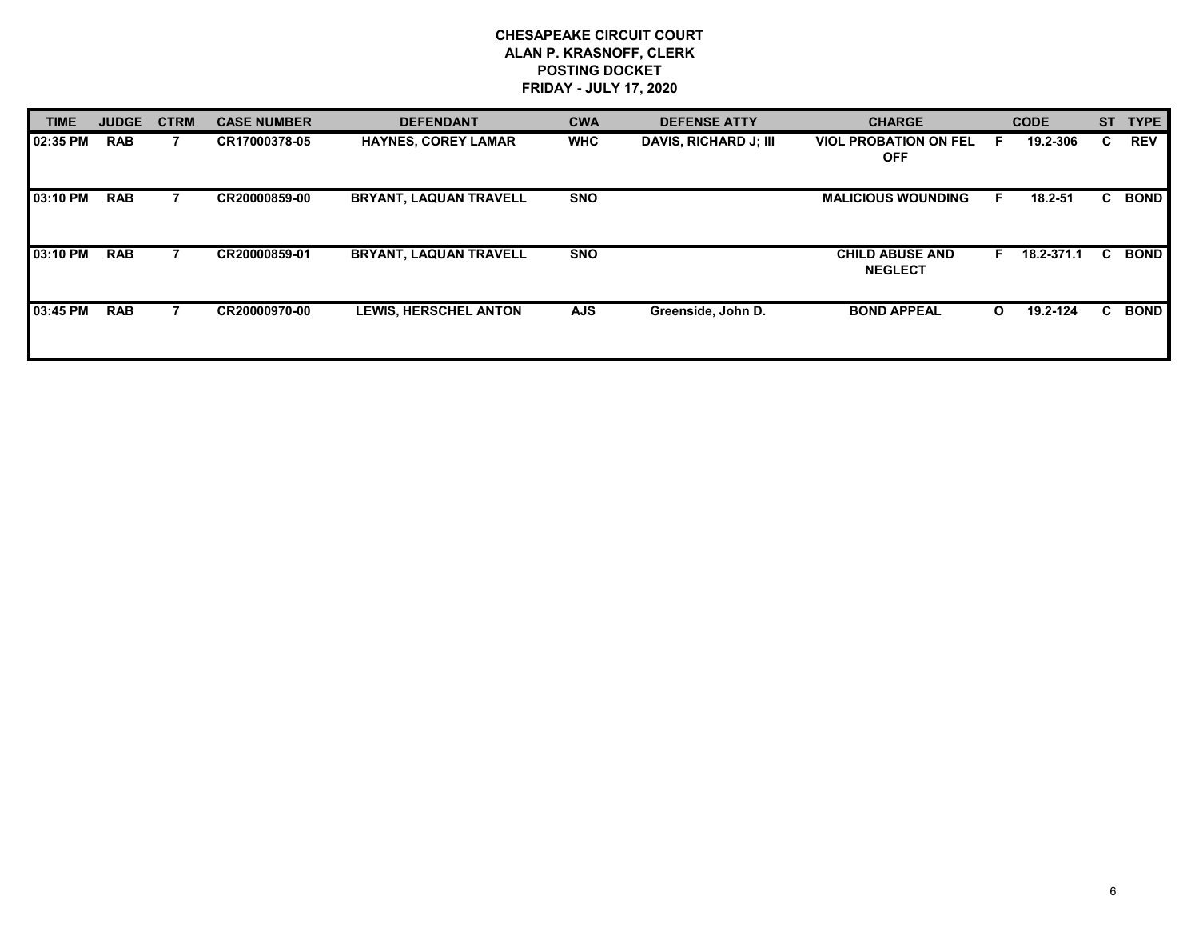| <b>TIME</b> | <b>JUDGE</b> | <b>CTRM</b> | <b>CASE NUMBER</b> | <b>DEFENDANT</b>              | <b>CWA</b> | <b>DEFENSE ATTY</b>   | <b>CHARGE</b>                              |              | <b>CODE</b> | <b>ST</b> | <b>TYPE</b> |
|-------------|--------------|-------------|--------------------|-------------------------------|------------|-----------------------|--------------------------------------------|--------------|-------------|-----------|-------------|
| 02:35 PM    | <b>RAB</b>   |             | CR17000378-05      | <b>HAYNES, COREY LAMAR</b>    | <b>WHC</b> | DAVIS, RICHARD J; III | <b>VIOL PROBATION ON FEL</b><br><b>OFF</b> |              | 19.2-306    | C.        | <b>REV</b>  |
| 03:10 PM    | <b>RAB</b>   |             | CR20000859-00      | <b>BRYANT, LAQUAN TRAVELL</b> | <b>SNO</b> |                       | <b>MALICIOUS WOUNDING</b>                  | E            | 18.2-51     | C.        | <b>BOND</b> |
| 03:10 PM    | <b>RAB</b>   |             | CR20000859-01      | <b>BRYANT, LAQUAN TRAVELL</b> | <b>SNO</b> |                       | <b>CHILD ABUSE AND</b><br><b>NEGLECT</b>   | F.           | 18.2-371.1  | C.        | <b>BOND</b> |
| 03:45 PM    | <b>RAB</b>   |             | CR20000970-00      | <b>LEWIS, HERSCHEL ANTON</b>  | <b>AJS</b> | Greenside, John D.    | <b>BOND APPEAL</b>                         | $\mathbf{o}$ | 19.2-124    | C.        | <b>BOND</b> |